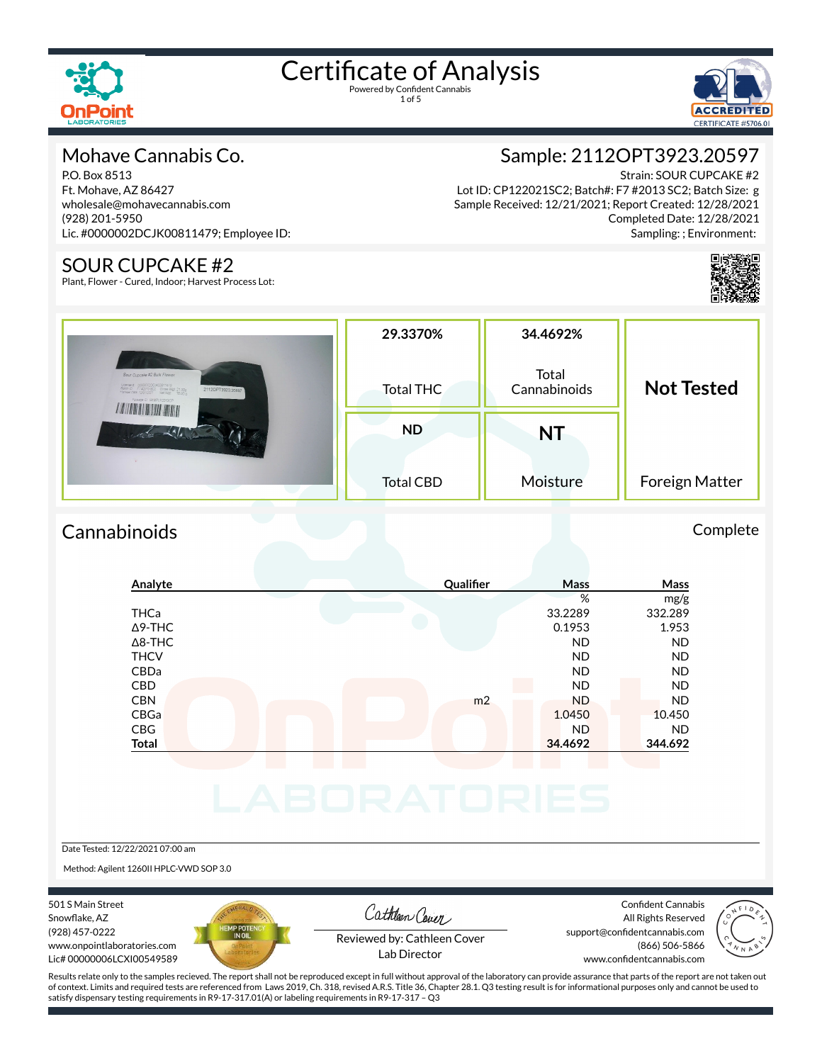

1 of 5



### Mohave Cannabis Co.

P.O. Box 8513 Ft. Mohave, AZ 86427 wholesale@mohavecannabis.com (928) 201-5950 Lic. #0000002DCJK00811479; Employee ID:

#### SOUR CUPCAKE #2

Plant, Flower - Cured, Indoor; Harvest Process Lot:

Sample: 2112OPT3923.20597

Strain: SOUR CUPCAKE #2 Lot ID: CP122021SC2; Batch#: F7 #2013 SC2; Batch Size: g Sample Received: 12/21/2021; Report Created: 12/28/2021 Completed Date: 12/28/2021 Sampling: ; Environment:



| Sour Cupcake #2 Bulk Flower<br>$\begin{array}{lll} \text{Limes} & \text{MOMMLODCKO38154/8} \\ \text{Ramol} & \text{FFRO358C2} & \text{Gross Wgt 21.00g} \\ \text{Hawol} & \text{FFRO358C2} & \text{Gross Wgt 21.00g} \\ \text{Hawod Tate} & \text{LMCG237} & \text{Net Wgt} & \text{16.00 g} \end{array}$<br>21120PT3923.20597<br>Papeage ID: SAMPLE2013CP | 29.3370%<br><b>Total THC</b> | 34.4692%<br>Total<br>Cannabinoids | <b>Not Tested</b> |  |
|------------------------------------------------------------------------------------------------------------------------------------------------------------------------------------------------------------------------------------------------------------------------------------------------------------------------------------------------------------|------------------------------|-----------------------------------|-------------------|--|
| <b><i><u>ALITER CHARLES</u></i></b>                                                                                                                                                                                                                                                                                                                        | <b>ND</b>                    | NT                                |                   |  |
|                                                                                                                                                                                                                                                                                                                                                            | <b>Total CBD</b>             | Moisture                          | Foreign Matter    |  |

## Cannabinoids Complete

# **Analyte Qualier Mass Mass** % mg/g THCa 33.2289 332.289  $\Delta$ 9-THC 0.1953 1.953 Δ8-THC ND ND THCV ND ND CBDa ND ND CBD A RESIDENCE OF A RESIDENCE OF A RESIDENCE OF A RESIDENCE OF A RESIDENCE OF A RESIDENCE OF A RESIDENCE OF A CBN m2 ND ND CBGa 1.0450 10.450 CBG ND ND **Total 34.4692 344.692**

Date Tested: 12/22/2021 07:00 am

Method: Agilent 1260II HPLC-VWD SOP 3.0

501 S Main Street Snowflake, AZ (928) 457-0222 www.onpointlaboratories.com Lic# 00000006LCXI00549589



Cathleen Cover

Confident Cannabis All Rights Reserved support@confidentcannabis.com (866) 506-5866



Reviewed by: Cathleen Cover Lab Director

www.confidentcannabis.com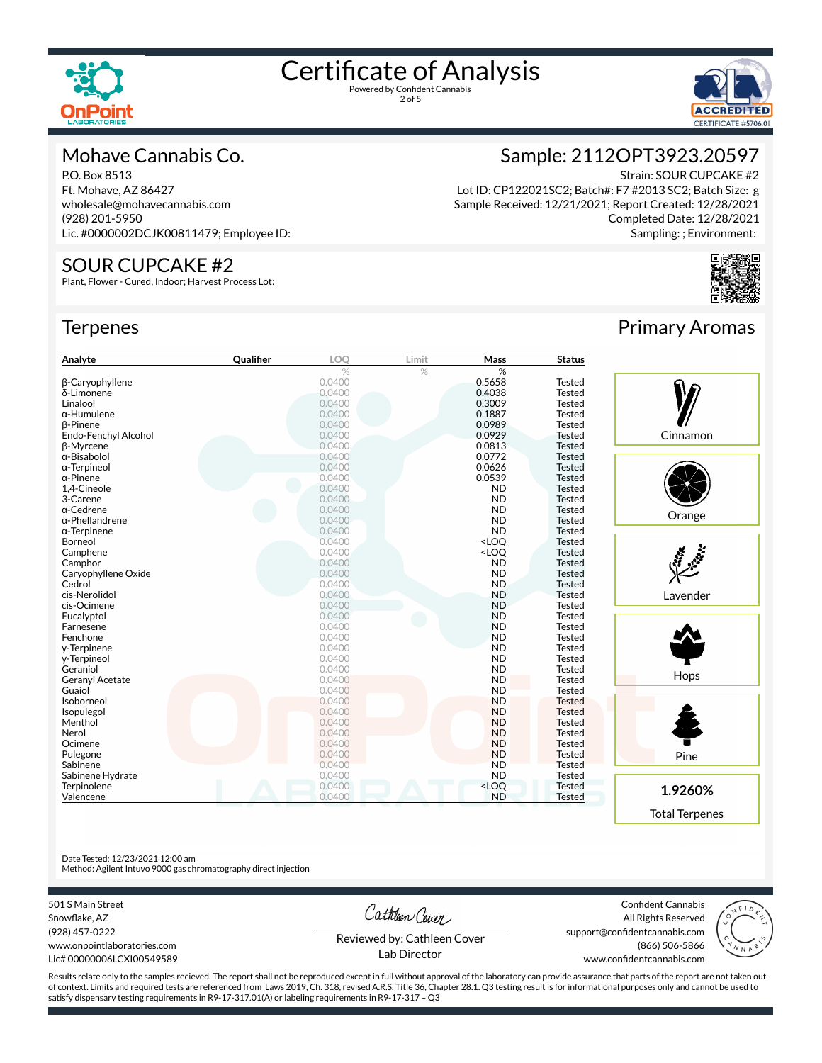



#### Mohave Cannabis Co.

P.O. Box 8513 Ft. Mohave, AZ 86427 wholesale@mohavecannabis.com (928) 201-5950 Lic. #0000002DCJK00811479; Employee ID:

#### SOUR CUPCAKE #2

Plant, Flower - Cured, Indoor; Harvest Process Lot:

#### **Terpenes**



Strain: SOUR CUPCAKE #2 Lot ID: CP122021SC2; Batch#: F7 #2013 SC2; Batch Size: g Sample Received: 12/21/2021; Report Created: 12/28/2021 Completed Date: 12/28/2021 Sampling: ; Environment:



| Analyte                | Qualifier | LOO    | Limit | Mass                                               | <b>Status</b> |          |
|------------------------|-----------|--------|-------|----------------------------------------------------|---------------|----------|
|                        |           | %      | $\%$  | %                                                  |               |          |
| <b>B-Caryophyllene</b> |           | 0.0400 |       | 0.5658                                             | <b>Tested</b> |          |
| δ-Limonene             |           | 0.0400 |       | 0.4038                                             | <b>Tested</b> |          |
| Linalool               |           | 0.0400 |       | 0.3009                                             | <b>Tested</b> |          |
| $\alpha$ -Humulene     |           | 0.0400 |       | 0.1887                                             | <b>Tested</b> |          |
| <b>ß-Pinene</b>        |           | 0.0400 |       | 0.0989                                             | <b>Tested</b> |          |
| Endo-Fenchyl Alcohol   |           | 0.0400 |       | 0.0929                                             | <b>Tested</b> | Cinnamon |
| <b>B-Myrcene</b>       |           | 0.0400 |       | 0.0813                                             | <b>Tested</b> |          |
| α-Bisabolol            |           | 0.0400 |       | 0.0772                                             | <b>Tested</b> |          |
| $\alpha$ -Terpineol    |           | 0.0400 |       | 0.0626                                             | <b>Tested</b> |          |
| $\alpha$ -Pinene       |           | 0.0400 |       | 0.0539                                             | <b>Tested</b> |          |
| 1,4-Cineole            |           | 0.0400 |       | <b>ND</b>                                          | <b>Tested</b> |          |
| 3-Carene               |           | 0.0400 |       | <b>ND</b>                                          | <b>Tested</b> |          |
| α-Cedrene              |           | 0.0400 |       | <b>ND</b>                                          | <b>Tested</b> |          |
| $\alpha$ -Phellandrene |           | 0.0400 |       | <b>ND</b>                                          | <b>Tested</b> | Orange   |
| $\alpha$ -Terpinene    |           | 0.0400 |       | <b>ND</b>                                          | <b>Tested</b> |          |
| Borneol                |           | 0.0400 |       | <loq< td=""><td><b>Tested</b></td><td></td></loq<> | <b>Tested</b> |          |
| Camphene               |           | 0.0400 |       | <loq< td=""><td><b>Tested</b></td><td></td></loq<> | <b>Tested</b> |          |
| Camphor                |           | 0.0400 |       | <b>ND</b>                                          | <b>Tested</b> |          |
| Caryophyllene Oxide    |           | 0.0400 |       | <b>ND</b>                                          | <b>Tested</b> |          |
| Cedrol                 |           | 0.0400 |       | <b>ND</b>                                          | <b>Tested</b> |          |
| cis-Nerolidol          |           | 0.0400 |       | <b>ND</b>                                          | <b>Tested</b> | Lavender |
| cis-Ocimene            |           | 0.0400 |       | <b>ND</b>                                          | <b>Tested</b> |          |
| Eucalyptol             |           | 0.0400 |       | <b>ND</b>                                          | <b>Tested</b> |          |
| Farnesene              |           | 0.0400 |       | <b>ND</b>                                          | <b>Tested</b> |          |
| Fenchone               |           | 0.0400 |       | <b>ND</b>                                          | <b>Tested</b> |          |
| y-Terpinene            |           | 0.0400 |       | <b>ND</b>                                          | <b>Tested</b> |          |
| y-Terpineol            |           | 0.0400 |       | <b>ND</b>                                          | <b>Tested</b> |          |
| Geraniol               |           | 0.0400 |       | <b>ND</b>                                          | <b>Tested</b> |          |
| <b>Geranyl Acetate</b> |           | 0.0400 |       | <b>ND</b>                                          | <b>Tested</b> | Hops     |
| Guaiol                 |           | 0.0400 |       | <b>ND</b>                                          | <b>Tested</b> |          |
| Isoborneol             |           | 0.0400 |       | <b>ND</b>                                          | <b>Tested</b> |          |
| Isopulegol             |           | 0.0400 |       | <b>ND</b>                                          | <b>Tested</b> |          |
| Menthol                |           | 0.0400 |       | <b>ND</b>                                          | <b>Tested</b> |          |
| Nerol                  |           | 0.0400 |       | <b>ND</b>                                          | <b>Tested</b> |          |
| Ocimene                |           | 0.0400 |       | <b>ND</b>                                          | <b>Tested</b> |          |
| Pulegone               |           | 0.0400 |       | <b>ND</b>                                          | <b>Tested</b> | Pine     |
| Sabinene               |           | 0.0400 |       | <b>ND</b>                                          | <b>Tested</b> |          |
| Sabinene Hydrate       |           | 0.0400 |       | <b>ND</b>                                          | <b>Tested</b> |          |
| Terpinolene            |           | 0.0400 |       | <loq< td=""><td><b>Tested</b></td><td></td></loq<> | <b>Tested</b> |          |
| Valencene              |           | 0.0400 |       | <b>ND</b>                                          | <b>Tested</b> | 1.9260%  |

### Primary Aromas



Date Tested: 12/23/2021 12:00 am

Method: Agilent Intuvo 9000 gas chromatography direct injection

501 S Main Street

Snowflake, AZ (928) 457-0222 www.onpointlaboratories.com Lic# 00000006LCXI00549589 Cathleen Cover

Confident Cannabis All Rights Reserved support@confidentcannabis.com (866) 506-5866



Reviewed by: Cathleen Cover Lab Director

www.confidentcannabis.com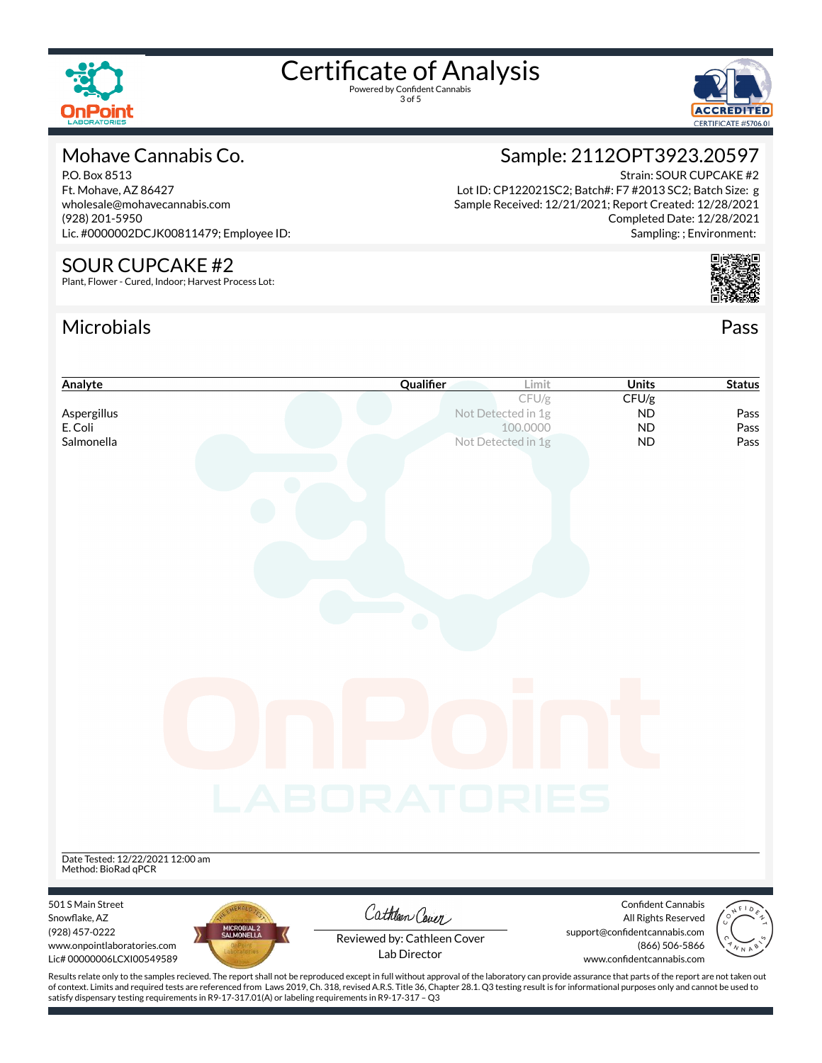

3 of 5



### Mohave Cannabis Co.

P.O. Box 8513 Ft. Mohave, AZ 86427 wholesale@mohavecannabis.com (928) 201-5950 Lic. #0000002DCJK00811479; Employee ID:

#### SOUR CUPCAKE #2

Plant, Flower - Cured, Indoor; Harvest Process Lot:

## Microbials Pass



Lot ID: CP122021SC2; Batch#: F7 #2013 SC2; Batch Size: g Sample Received: 12/21/2021; Report Created: 12/28/2021 Completed Date: 12/28/2021 Sampling: ; Environment:



| Analyte                                                                                                                                                                                            | Qualifier                                   | Limit    | Units                                                | <b>Status</b> |
|----------------------------------------------------------------------------------------------------------------------------------------------------------------------------------------------------|---------------------------------------------|----------|------------------------------------------------------|---------------|
|                                                                                                                                                                                                    |                                             | CFU/g    | CFU/g                                                |               |
| Aspergillus<br>E. Coli                                                                                                                                                                             | Not Detected in 1g                          | 100.0000 | <b>ND</b><br><b>ND</b>                               | Pass<br>Pass  |
| Salmonella                                                                                                                                                                                         | Not Detected in 1g                          |          | <b>ND</b>                                            | Pass          |
|                                                                                                                                                                                                    |                                             |          |                                                      |               |
|                                                                                                                                                                                                    |                                             |          |                                                      |               |
|                                                                                                                                                                                                    |                                             |          |                                                      |               |
|                                                                                                                                                                                                    |                                             |          |                                                      |               |
|                                                                                                                                                                                                    |                                             |          |                                                      |               |
|                                                                                                                                                                                                    |                                             |          |                                                      |               |
|                                                                                                                                                                                                    |                                             |          |                                                      |               |
|                                                                                                                                                                                                    |                                             |          |                                                      |               |
|                                                                                                                                                                                                    |                                             |          |                                                      |               |
|                                                                                                                                                                                                    |                                             |          |                                                      |               |
|                                                                                                                                                                                                    |                                             |          |                                                      |               |
|                                                                                                                                                                                                    |                                             |          |                                                      |               |
|                                                                                                                                                                                                    |                                             |          |                                                      |               |
|                                                                                                                                                                                                    |                                             |          |                                                      |               |
|                                                                                                                                                                                                    |                                             |          |                                                      |               |
|                                                                                                                                                                                                    |                                             |          |                                                      |               |
|                                                                                                                                                                                                    |                                             |          |                                                      |               |
|                                                                                                                                                                                                    | LABORATORIES                                |          |                                                      |               |
|                                                                                                                                                                                                    |                                             |          |                                                      |               |
|                                                                                                                                                                                                    |                                             |          |                                                      |               |
|                                                                                                                                                                                                    |                                             |          |                                                      |               |
| Date Tested: 12/22/2021 12:00 am<br>Method: BioRad qPCR                                                                                                                                            |                                             |          |                                                      |               |
|                                                                                                                                                                                                    |                                             |          |                                                      |               |
| 501 S Main Street                                                                                                                                                                                  | Cathleen Cover                              |          | <b>Confident Cannabis</b>                            |               |
| Snowflake, AZ<br>MICROBIAL 2<br>SALMONELLA<br>(928) 457-0222                                                                                                                                       |                                             |          | All Rights Reserved<br>support@confidentcannabis.com |               |
| www.onpointlaboratories.com                                                                                                                                                                        | Reviewed by: Cathleen Cover<br>Lab Director |          | (866) 506-5866                                       |               |
| Lic# 00000006LCXI00549589                                                                                                                                                                          |                                             |          | www.confidentcannabis.com                            |               |
| Results relate only to the samples recieved. The report shall not be reproduced except in full without approval of the laboratory can provide assurance that parts of the report are not taken out |                                             |          |                                                      |               |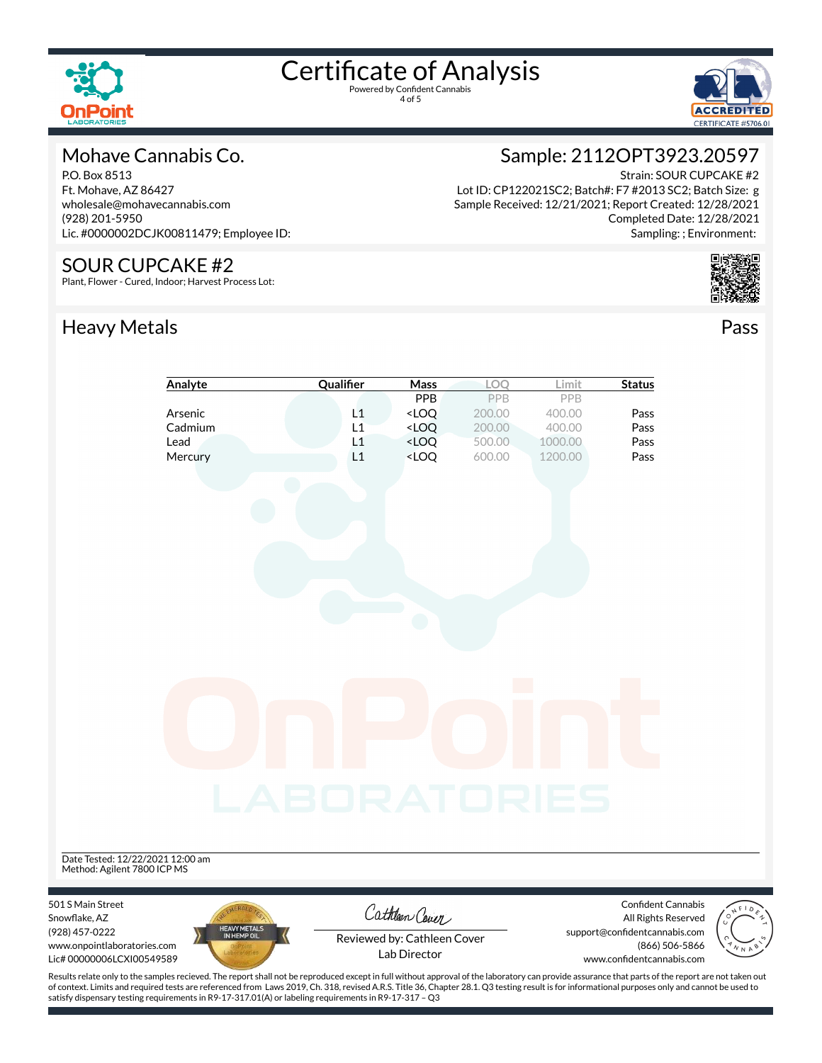



#### Mohave Cannabis Co.

P.O. Box 8513 Ft. Mohave, AZ 86427 wholesale@mohavecannabis.com (928) 201-5950 Lic. #0000002DCJK00811479; Employee ID:

#### SOUR CUPCAKE #2

Plant, Flower - Cured, Indoor; Harvest Process Lot:

# Heavy Metals **Pass**

# Sample: 2112OPT3923.20597

Strain: SOUR CUPCAKE #2 Lot ID: CP122021SC2; Batch#: F7 #2013 SC2; Batch Size: g Sample Received: 12/21/2021; Report Created: 12/28/2021 Completed Date: 12/28/2021 Sampling: ; Environment:



|                                                                            | Analyte                     | Qualifier    | Mass                                                                                                             | LOQ              | Limit              | <b>Status</b>                                                                                     |
|----------------------------------------------------------------------------|-----------------------------|--------------|------------------------------------------------------------------------------------------------------------------|------------------|--------------------|---------------------------------------------------------------------------------------------------|
|                                                                            |                             |              | PPB                                                                                                              | PPB              | PPB                |                                                                                                   |
|                                                                            | Arsenic                     | L1           | <loq< td=""><td>200.00</td><td>400.00</td><td>Pass</td></loq<>                                                   | 200.00           | 400.00             | Pass                                                                                              |
|                                                                            | Cadmium                     | L1           | $<$ LOQ                                                                                                          | 200.00           | 400.00             | Pass                                                                                              |
|                                                                            | Lead<br>Mercury             | L1<br>L1     | <loq<br><loq< td=""><td>500.00<br/>600.00</td><td>1000.00<br/>1200.00</td><td>Pass<br/>Pass</td></loq<></loq<br> | 500.00<br>600.00 | 1000.00<br>1200.00 | Pass<br>Pass                                                                                      |
|                                                                            |                             |              |                                                                                                                  |                  |                    |                                                                                                   |
|                                                                            |                             |              |                                                                                                                  |                  |                    |                                                                                                   |
|                                                                            |                             |              |                                                                                                                  |                  |                    |                                                                                                   |
|                                                                            |                             |              |                                                                                                                  |                  |                    |                                                                                                   |
|                                                                            |                             |              |                                                                                                                  |                  |                    |                                                                                                   |
|                                                                            |                             |              |                                                                                                                  |                  |                    |                                                                                                   |
|                                                                            |                             | LABORATORIES |                                                                                                                  |                  |                    |                                                                                                   |
| Date Tested: 12/22/2021 12:00 am                                           |                             |              |                                                                                                                  |                  |                    |                                                                                                   |
| Method: Agilent 7800 ICP MS                                                |                             |              |                                                                                                                  |                  |                    |                                                                                                   |
| 501 S Main Street<br>Snowflake, AZ                                         |                             |              | Cathleen Cover                                                                                                   |                  |                    | <b>Confident Cannabis</b><br>$\int_{0}^{\infty}$<br>All Rights Reserved                           |
| (928) 457-0222<br>www.onpointlaboratories.com<br>Lic# 00000006LCXI00549589 | HEAVY METALS<br>IN HEMP OIL |              | Reviewed by: Cathleen Cover<br>Lab Director                                                                      |                  |                    | support@confidentcannabis.com<br>$\mathbin{\circ}$<br>(866) 506-5866<br>www.confidentcannabis.com |